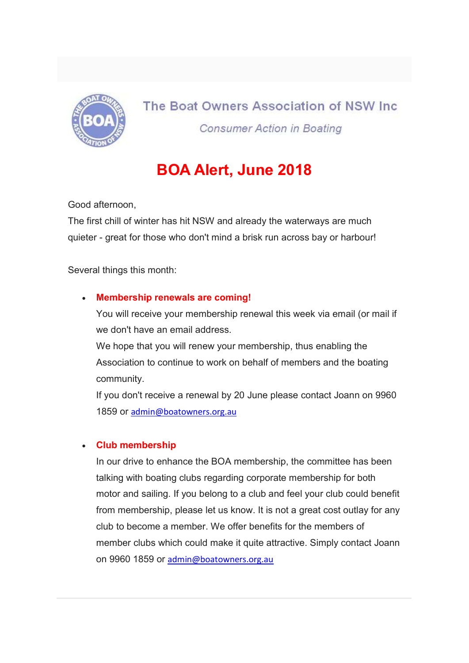

## The Boat Owners Association of NSW Inc. **Consumer Action in Boating**

# BOA Alert, June 2018

Good afternoon,

The first chill of winter has hit NSW and already the waterways are much quieter - great for those who don't mind a brisk run across bay or harbour!

Several things this month:

## Membership renewals are coming!

You will receive your membership renewal this week via email (or mail if we don't have an email address.

We hope that you will renew your membership, thus enabling the Association to continue to work on behalf of members and the boating community.

If you don't receive a renewal by 20 June please contact Joann on 9960 1859 or admin@boatowners.org.au

## Club membership

In our drive to enhance the BOA membership, the committee has been talking with boating clubs regarding corporate membership for both motor and sailing. If you belong to a club and feel your club could benefit from membership, please let us know. It is not a great cost outlay for any club to become a member. We offer benefits for the members of member clubs which could make it quite attractive. Simply contact Joann on 9960 1859 or admin@boatowners.org.au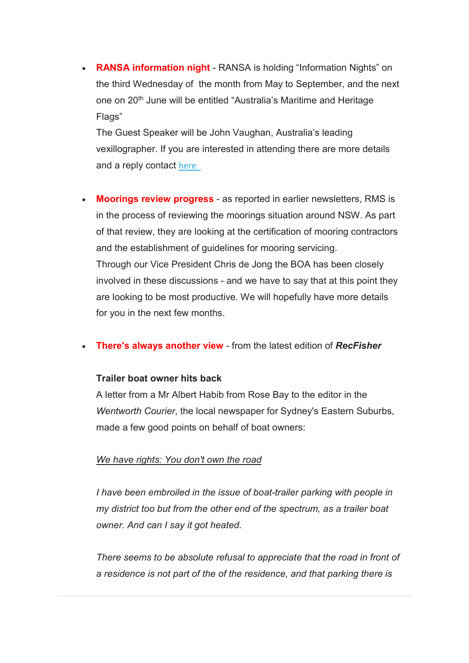RANSA information night - RANSA is holding "Information Nights" on the third Wednesday of the month from May to September, and the next one on 20<sup>th</sup> June will be entitled "Australia's Maritime and Heritage Flags"

The Guest Speaker will be John Vaughan, Australia's leading vexillographer. If you are interested in attending there are more details and a reply contact here

• Moorings review progress - as reported in earlier newsletters, RMS is in the process of reviewing the moorings situation around NSW. As part of that review, they are looking at the certification of mooring contractors and the establishment of guidelines for mooring servicing. Through our Vice President Chris de Jong the BOA has been closely involved in these discussions - and we have to say that at this point they are looking to be most productive. We will hopefully have more details for you in the next few months.

#### • There's always another view - from the latest edition of RecFisher

#### Trailer boat owner hits back

A letter from a Mr Albert Habib from Rose Bay to the editor in the Wentworth Courier, the local newspaper for Sydney's Eastern Suburbs, made a few good points on behalf of boat owners:

#### We have rights: You don't own the road

I have been embroiled in the issue of boat-trailer parking with people in my district too but from the other end of the spectrum, as a trailer boat owner. And can I say it got heated.

There seems to be absolute refusal to appreciate that the road in front of a residence is not part of the of the residence, and that parking there is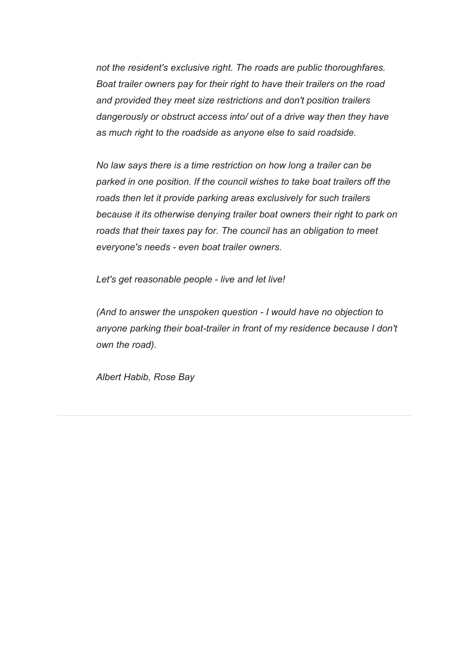not the resident's exclusive right. The roads are public thoroughfares. Boat trailer owners pay for their right to have their trailers on the road and provided they meet size restrictions and don't position trailers dangerously or obstruct access into/ out of a drive way then they have as much right to the roadside as anyone else to said roadside.

No law says there is a time restriction on how long a trailer can be parked in one position. If the council wishes to take boat trailers off the roads then let it provide parking areas exclusively for such trailers because it its otherwise denying trailer boat owners their right to park on roads that their taxes pay for. The council has an obligation to meet everyone's needs - even boat trailer owners.

Let's get reasonable people - live and let live!

(And to answer the unspoken question - I would have no objection to anyone parking their boat-trailer in front of my residence because I don't own the road).

Albert Habib, Rose Bay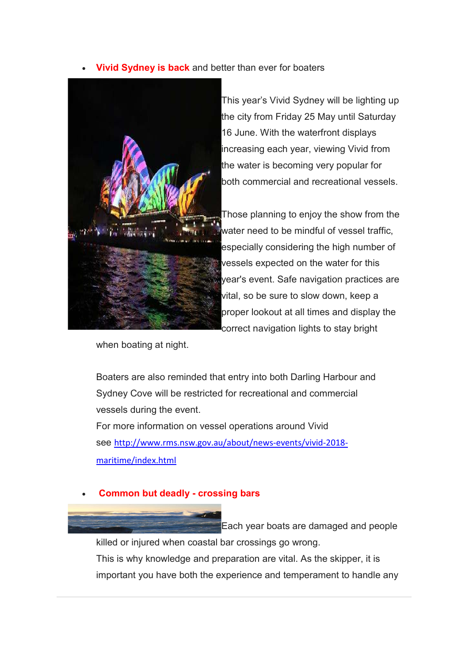Vivid Sydney is back and better than ever for boaters



This year's Vivid Sydney will be lighting up the city from Friday 25 May until Saturday 16 June. With the waterfront displays increasing each year, viewing Vivid from the water is becoming very popular for both commercial and recreational vessels.

Those planning to enjoy the show from the water need to be mindful of vessel traffic, especially considering the high number of vessels expected on the water for this year's event. Safe navigation practices are vital, so be sure to slow down, keep a proper lookout at all times and display the correct navigation lights to stay bright

when boating at night.

Boaters are also reminded that entry into both Darling Harbour and Sydney Cove will be restricted for recreational and commercial vessels during the event. For more information on vessel operations around Vivid

see http://www.rms.nsw.gov.au/about/news-events/vivid-2018 maritime/index.html

## Common but deadly - crossing bars

Each year boats are damaged and people killed or injured when coastal bar crossings go wrong. This is why knowledge and preparation are vital. As the skipper, it is important you have both the experience and temperament to handle any